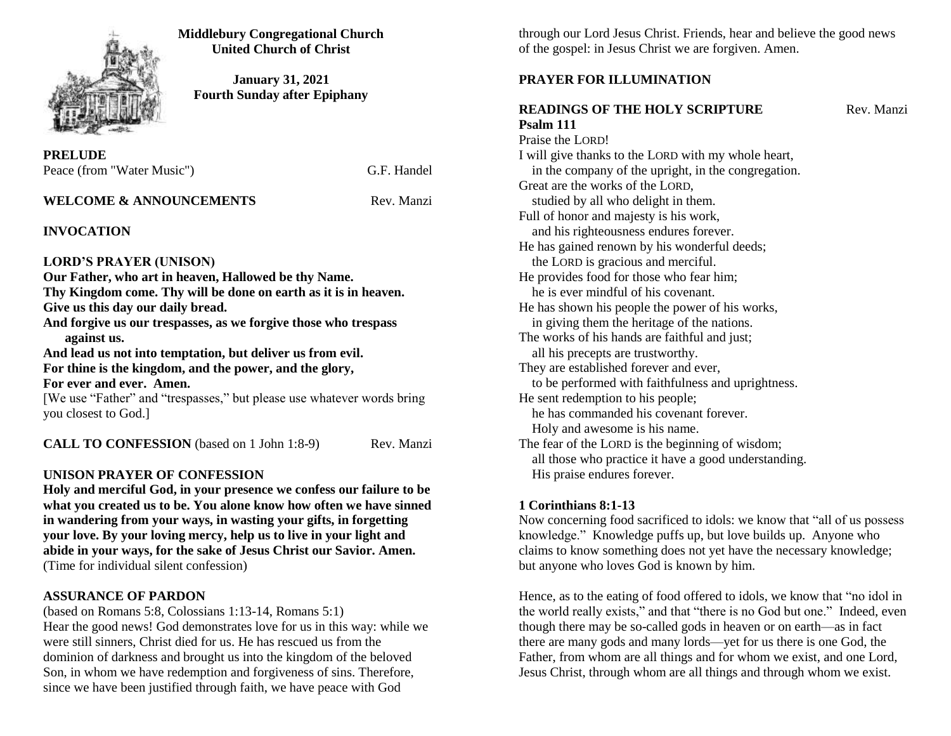

**Middlebury Congregational Church United Church of Christ**

**January 31, 2021 Fourth Sunday after Epiphany**

**PRELUDE**  Peace (from "Water Music") G.F. Handel

# **WELCOME & ANNOUNCEMENTS** Rev. Manzi

# **INVOCATION**

### **LORD'S PRAYER (UNISON)**

**Our Father, who art in heaven, Hallowed be thy Name. Thy Kingdom come. Thy will be done on earth as it is in heaven. Give us this day our daily bread. And forgive us our trespasses, as we forgive those who trespass against us. And lead us not into temptation, but deliver us from evil.** 

**For thine is the kingdom, and the power, and the glory, For ever and ever. Amen.**

[We use "Father" and "trespasses," but please use whatever words bring you closest to God.]

**CALL TO CONFESSION** (based on 1 John 1:8-9) Rev. Manzi

# **UNISON PRAYER OF CONFESSION**

**Holy and merciful God, in your presence we confess our failure to be what you created us to be. You alone know how often we have sinned in wandering from your ways, in wasting your gifts, in forgetting your love. By your loving mercy, help us to live in your light and abide in your ways, for the sake of Jesus Christ our Savior. Amen.** (Time for individual silent confession)

## **ASSURANCE OF PARDON**

(based on Romans 5:8, Colossians 1:13-14, Romans 5:1) Hear the good news! God demonstrates love for us in this way: while we were still sinners, Christ died for us. He has rescued us from the dominion of darkness and brought us into the kingdom of the beloved Son, in whom we have redemption and forgiveness of sins. Therefore, since we have been justified through faith, we have peace with God

through our Lord Jesus Christ. Friends, hear and believe the good news of the gospel: in Jesus Christ we are forgiven. Amen.

# **PRAYER FOR ILLUMINATION**

# **READINGS OF THE HOLY SCRIPTURE Rev. Manzi Psalm 111**

Praise the LORD! I will give thanks to the LORD with my whole heart, in the company of the upright, in the congregation. Great are the works of the LORD, studied by all who delight in them. Full of honor and majesty is his work, and his righteousness endures forever. He has gained renown by his wonderful deeds; the LORD is gracious and merciful. He provides food for those who fear him; he is ever mindful of his covenant. He has shown his people the power of his works, in giving them the heritage of the nations. The works of his hands are faithful and just; all his precepts are trustworthy. They are established forever and ever, to be performed with faithfulness and uprightness. He sent redemption to his people; he has commanded his covenant forever. Holy and awesome is his name. The fear of the LORD is the beginning of wisdom; all those who practice it have a good understanding. His praise endures forever.

## **1 Corinthians 8:1-13**

Now concerning food sacrificed to idols: we know that "all of us possess knowledge." Knowledge puffs up, but love builds up. Anyone who claims to know something does not yet have the necessary knowledge; but anyone who loves God is known by him.

Hence, as to the eating of food offered to idols, we know that "no idol in the world really exists," and that "there is no God but one." Indeed, even though there may be so-called gods in heaven or on earth—as in fact there are many gods and many lords—yet for us there is one God, the Father, from whom are all things and for whom we exist, and one Lord, Jesus Christ, through whom are all things and through whom we exist.